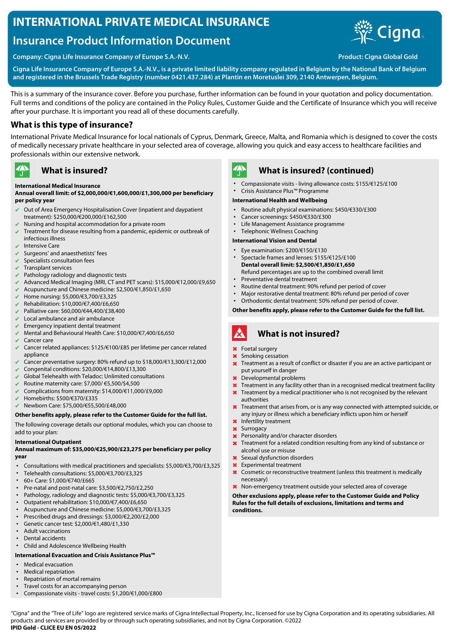## **INTERNATIONAL PRIVATE MEDICAL INSURANCE**

# **Insurance Product Information Document**



**Company: Cigna Life Insurance Company of Europe S.A.-N.V. Product: Cigna Global Gold**

**Cigna Life Insurance Company of Europe S.A.-N.V., is a private limited liability company regulated in Belgium by the National Bank of Belgium and registered in the Brussels Trade Registry (number 0421.437.284) at Plantin en Moretuslei 309, 2140 Antwerpen, Belgium.**

This is a summary of the insurance cover. Before you purchase, further information can be found in your quotation and policy documentation. Full terms and conditions of the policy are contained in the Policy Rules, Customer Guide and the Certificate of Insurance which you will receive after your purchase. It is important you read all of these documents carefully.

## **What is this type of insurance?**

International Private Medical Insurance for local nationals of Cyprus, Denmark, Greece, Malta, and Romania which is designed to cover the costs of medically necessary private healthcare in your selected area of coverage, allowing you quick and easy access to healthcare facilities and professionals within our extensive network.

## **What is insured?**

### **International Medical Insurance**

### **Annual overall limit: of \$2,000,000/€1,600,000/£1,300,000 per beneficiary per policy year**

- Out of Area Emergency Hospitalisation Cover (inpatient and daypatient treatment): \$250,000/€200,000/£162,500
- Nursing and hospital accommodation for a private room
- Treatment for disease resulting from a pandemic, epidemic or outbreak of infectious illness
- Intensive Care

 $\mathbf{A}$ 

- $\vee$  Surgeons' and anaesthetists' fees
- Specialists consultation fees
- $\triangleright$  Transplant services
- Pathology radiology and diagnostic tests
- ✔ Advanced Medical Imaging (MRI, CT and PET scans): \$15,000/€12,000/£9,650
- ✔ Acupuncture and Chinese medicine: \$2,500/€1,850/£1,650
- ✔ Home nursing: \$5,000/€3,700/£3,325
- ✔ Rehabilitation: \$10,000/€7,400/£6,650
- ✔ Palliative care: \$60,000/€44,400/£38,400
- Local ambulance and air ambulance
- Emergency inpatient dental treatment
- ✔ Mental and Behavioural Health Care: \$10,000/€7,400/£6,650
- Cancer care
- ✔ Cancer related appliances: \$125/€100/£85 per lifetime per cancer related appliance
- ✔ Cancer preventative surgery: 80% refund up to \$18,000/€13,300/£12,000
- ✔ Congenital conditions: \$20,000/€14,800/£13,300
- Global Telehealth with Teladoc: Unlimited consultations
- ✔ Routine maternity care: \$7,000/ €5,500/\$4,500
- ✔ Complications from maternity: \$14,000/€11,000/£9,000
- ✔ Homebirths: \$500/€370/£335
- ✔ Newborn Care: \$75,000/€55,500/£48,000

### **Other benefits apply, please refer to the Customer Guide for the full list.**

The following coverage details our optional modules, which you can choose to add to your plan:

### **International Outpatient**

### **Annual maximum of: \$35,000/€25,900/£23,275 per beneficiary per policy year**

- Consultations with medical practitioners and specialists: \$5,000/€3,700/£3,325
- Telehealth consultations: \$5,000/€3,700/£3,325
- 60+ Care: \$1,000/€740/£665
- Pre-natal and post-natal care: \$3,500/€2,750/£2,250
- Pathology, radiology and diagnostic tests: \$5,000/€3,700/£3,325
- Outpatient rehabilitation: \$10,000/€7,400/£6,650
- Acupuncture and Chinese medicine: \$5,000/€3,700/£3,325
- Prescribed drugs and dressings: \$3,000/€2,200/£2,000
- Genetic cancer test: \$2,000/€1,480/£1,330
- Adult vaccinations
- Dental accidents
- Child and Adolescence Wellbeing Health

## **International Evacuation and Crisis Assistance Plus™**

- Medical evacuation
- Medical repatriation
- Repatriation of mortal remains
- Travel costs for an accompanying person
- Compassionate visits travel costs: \$1,200/€1,000/£800



## **What is insured? (continued)**

- Compassionate visits living allowance costs: \$155/€125/£100
- Crisis Assistance Plus™ Programme

### **International Health and Wellbeing**

- Routine adult physical examinations: \$450/€330/£300
- Cancer screenings: \$450/€330/£300
- Life Management Assistance programme
- Telephonic Wellness Coaching

### **International Vision and Dental**

- Eye examination: \$200/€150/£130
- Spectacle frames and lenses: \$155/€125/£100 **Dental overall limit: \$2,500/€1,850/£1,650** Refund percentages are up to the combined overall limit
- Preventative dental treatment
- Routine dental treatment: 90% refund per period of cover
- Major restorative dental treatment: 80% refund per period of cover
	- Orthodontic dental treatment: 50% refund per period of cover.

### **Other benefits apply, please refer to the Customer Guide for the full list.**

### $\boldsymbol{\mathcal{R}}$ **What is not insured?**

- ✖ Foetal surgery
- Smoking cessation
- **X** Treatment as a result of conflict or disaster if you are an active participant or put yourself in danger
- ✖ Developmental problems
- Treatment in any facility other than in a recognised medical treatment facility
- **X** Treatment by a medical practitioner who is not recognised by the relevant authorities
- ✖ Treatment that arises from, or is any way connected with attempted suicide, or any injury or illness which a beneficiary inflicts upon him or herself
- ✖ Infertility treatment
- ✖ Surrogacy
- ✖ Personality and/or character disorders ✖ Treatment for a related condition resulting from any kind of substance or alcohol use or misuse
- Sexual dysfunction disorders
- ✖ Experimental treatment
- ✖ Cosmetic or reconstructive treatment (unless this treatment is medically necessary)
- ✖ Non-emergency treatment outside your selected area of coverage

**Other exclusions apply, please refer to the Customer Guide and Policy Rules for the full details of exclusions, limitations and terms and conditions.**

"Cigna" and the "Tree of Life" logo are registered service marks of Cigna Intellectual Property, Inc., licensed for use by Cigna Corporation and its operating subsidiaries. All products and services are provided by or through such operating subsidiaries, and not by Cigna Corporation. ©2022 **IPID Gold - CLICE EU EN 05/2022**